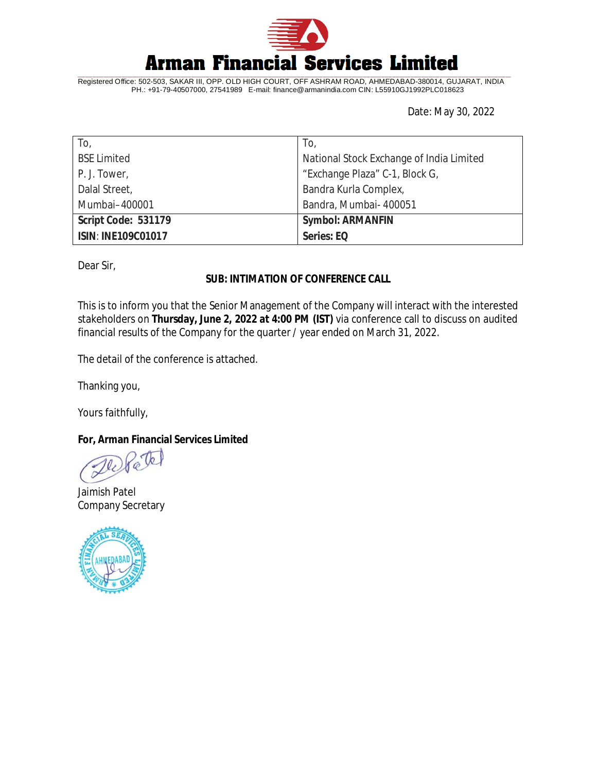

Registered Office: 502-503, SAKAR III, OPP. OLD HIGH COURT, OFF ASHRAM ROAD, AHMEDABAD-380014, GUJARAT, INDIA PH.: +91-79-40507000, 27541989 E-mail: [finance@armanindia.com](mailto:finance@armanindia.com) CIN: L55910GJ1992PLC018623

Date: May 30, 2022

| To,                       | To,                                      |
|---------------------------|------------------------------------------|
| <b>BSE Limited</b>        | National Stock Exchange of India Limited |
| P. J. Tower,              | "Exchange Plaza" C-1, Block G,           |
| Dalal Street,             | Bandra Kurla Complex,                    |
| Mumbai-400001             | Bandra, Mumbai- 400051                   |
| Script Code: 531179       | <b>Symbol: ARMANFIN</b>                  |
| <b>ISIN: INE109C01017</b> | Series: EQ                               |

Dear Sir,

# **SUB: INTIMATION OF CONFERENCE CALL**

This is to inform you that the Senior Management of the Company will interact with the interested stakeholders on **Thursday, June 2, 2022 at 4:00 PM (IST)** via conference call to discuss on audited financial results of the Company for the quarter / year ended on March 31, 2022.

The detail of the conference is attached.

Thanking you,

Yours faithfully,

**For, Arman Financial Services Limited**

Te

Jaimish Patel Company Secretary